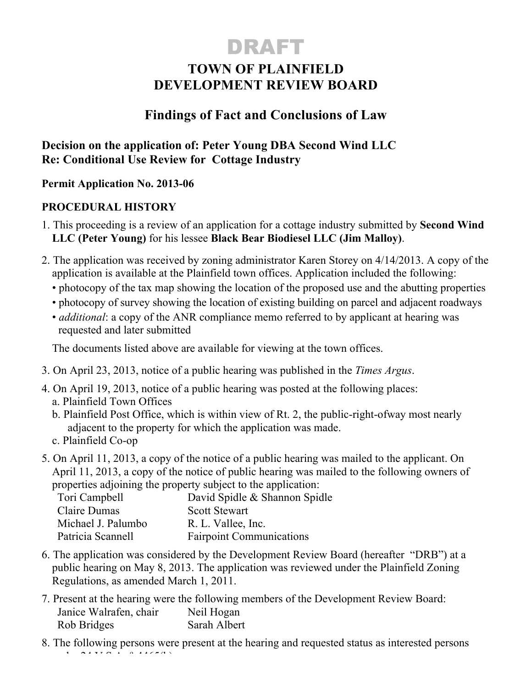# DRAFT

## **TOWN OF PLAINFIELD DEVELOPMENT REVIEW BOARD**

### **Findings of Fact and Conclusions of Law**

**Decision on the application of: Peter Young DBA Second Wind LLC Re: Conditional Use Review for Cottage Industry**

#### **Permit Application No. 2013-06**

#### **PROCEDURAL HISTORY**

- 1. This proceeding is a review of an application for a cottage industry submitted by **Second Wind LLC (Peter Young)** for his lessee **Black Bear Biodiesel LLC (Jim Malloy)**.
- 2. The application was received by zoning administrator Karen Storey on 4/14/2013. A copy of the application is available at the Plainfield town offices. Application included the following:
	- photocopy of the tax map showing the location of the proposed use and the abutting properties
	- photocopy of survey showing the location of existing building on parcel and adjacent roadways
	- *additional*: a copy of the ANR compliance memo referred to by applicant at hearing was requested and later submitted

The documents listed above are available for viewing at the town offices.

- 3. On April 23, 2013, notice of a public hearing was published in the *Times Argus*.
- 4. On April 19, 2013, notice of a public hearing was posted at the following places: a. Plainfield Town Offices
	- b. Plainfield Post Office, which is within view of Rt. 2, the public-right-ofway most nearly adjacent to the property for which the application was made.
	- c. Plainfield Co-op
- 5. On April 11, 2013, a copy of the notice of a public hearing was mailed to the applicant. On April 11, 2013, a copy of the notice of public hearing was mailed to the following owners of properties adjoining the property subject to the application:

| Tori Campbell      | David Spidle & Shannon Spidle   |
|--------------------|---------------------------------|
| Claire Dumas       | <b>Scott Stewart</b>            |
| Michael J. Palumbo | R. L. Vallee, Inc.              |
| Patricia Scannell  | <b>Fairpoint Communications</b> |

- 6. The application was considered by the Development Review Board (hereafter "DRB") at a public hearing on May 8, 2013. The application was reviewed under the Plainfield Zoning Regulations, as amended March 1, 2011.
- 7. Present at the hearing were the following members of the Development Review Board: Janice Walrafen, chair Neil Hogan Rob Bridges Sarah Albert
- 8. The following persons were present at the hearing and requested status as interested persons  $\frac{1}{2}$  AITTAL 6.446545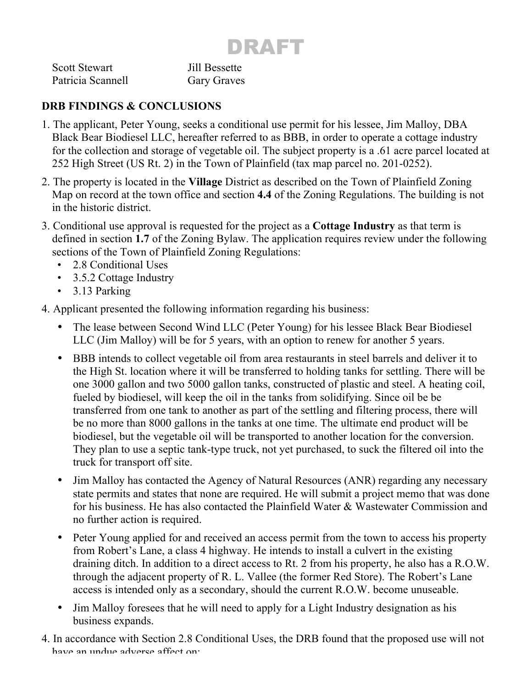# DRAFT

| <b>Scott Stewart</b> | Jill Bessette      |
|----------------------|--------------------|
| Patricia Scannell    | <b>Gary Graves</b> |

#### **DRB FINDINGS & CONCLUSIONS**

- 1. The applicant, Peter Young, seeks a conditional use permit for his lessee, Jim Malloy, DBA Black Bear Biodiesel LLC, hereafter referred to as BBB, in order to operate a cottage industry for the collection and storage of vegetable oil. The subject property is a .61 acre parcel located at 252 High Street (US Rt. 2) in the Town of Plainfield (tax map parcel no. 201-0252).
- 2. The property is located in the **Village** District as described on the Town of Plainfield Zoning Map on record at the town office and section **4.4** of the Zoning Regulations. The building is not in the historic district.
- 3. Conditional use approval is requested for the project as a **Cottage Industry** as that term is defined in section **1.7** of the Zoning Bylaw. The application requires review under the following sections of the Town of Plainfield Zoning Regulations:
	- 2.8 Conditional Uses
	- 3.5.2 Cottage Industry
	- 3.13 Parking

4. Applicant presented the following information regarding his business:

- The lease between Second Wind LLC (Peter Young) for his lessee Black Bear Biodiesel LLC (Jim Malloy) will be for 5 years, with an option to renew for another 5 years.
- BBB intends to collect vegetable oil from area restaurants in steel barrels and deliver it to the High St. location where it will be transferred to holding tanks for settling. There will be one 3000 gallon and two 5000 gallon tanks, constructed of plastic and steel. A heating coil, fueled by biodiesel, will keep the oil in the tanks from solidifying. Since oil be be transferred from one tank to another as part of the settling and filtering process, there will be no more than 8000 gallons in the tanks at one time. The ultimate end product will be biodiesel, but the vegetable oil will be transported to another location for the conversion. They plan to use a septic tank-type truck, not yet purchased, to suck the filtered oil into the truck for transport off site.
- Jim Malloy has contacted the Agency of Natural Resources (ANR) regarding any necessary state permits and states that none are required. He will submit a project memo that was done for his business. He has also contacted the Plainfield Water & Wastewater Commission and no further action is required.
- Peter Young applied for and received an access permit from the town to access his property from Robert's Lane, a class 4 highway. He intends to install a culvert in the existing draining ditch. In addition to a direct access to Rt. 2 from his property, he also has a R.O.W. through the adjacent property of R. L. Vallee (the former Red Store). The Robert's Lane access is intended only as a secondary, should the current R.O.W. become unuseable.
- Jim Malloy foresees that he will need to apply for a Light Industry designation as his business expands.
- 4. In accordance with Section 2.8 Conditional Uses, the DRB found that the proposed use will not have an undue adverse affect on: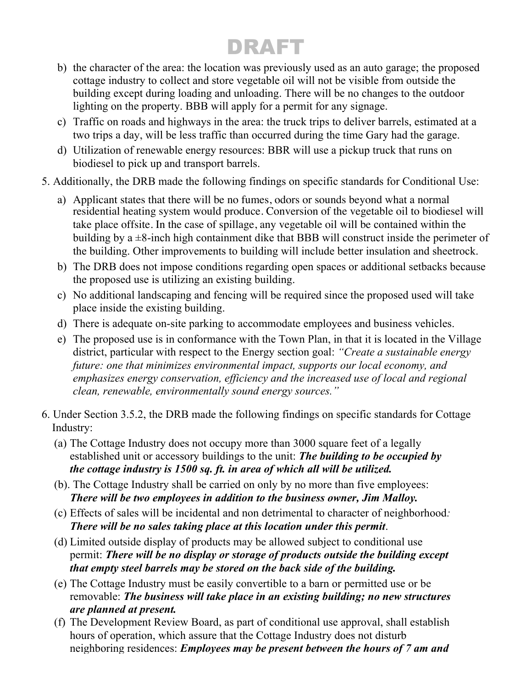# DRAFT

- b) the character of the area: the location was previously used as an auto garage; the proposed cottage industry to collect and store vegetable oil will not be visible from outside the building except during loading and unloading. There will be no changes to the outdoor lighting on the property. BBB will apply for a permit for any signage.
- c) Traffic on roads and highways in the area: the truck trips to deliver barrels, estimated at a two trips a day, will be less traffic than occurred during the time Gary had the garage.
- d) Utilization of renewable energy resources: BBR will use a pickup truck that runs on biodiesel to pick up and transport barrels.
- 5. Additionally, the DRB made the following findings on specific standards for Conditional Use:
	- a) Applicant states that there will be no fumes, odors or sounds beyond what a normal residential heating system would produce. Conversion of the vegetable oil to biodiesel will take place offsite. In the case of spillage, any vegetable oil will be contained within the building by a  $\pm$ 8-inch high containment dike that BBB will construct inside the perimeter of the building. Other improvements to building will include better insulation and sheetrock.
	- b) The DRB does not impose conditions regarding open spaces or additional setbacks because the proposed use is utilizing an existing building.
	- c) No additional landscaping and fencing will be required since the proposed used will take place inside the existing building.
	- d) There is adequate on-site parking to accommodate employees and business vehicles.
	- e) The proposed use is in conformance with the Town Plan, in that it is located in the Village district, particular with respect to the Energy section goal: *"Create a sustainable energy future: one that minimizes environmental impact, supports our local economy, and emphasizes energy conservation, efficiency and the increased use of local and regional clean, renewable, environmentally sound energy sources."*
- 6. Under Section 3.5.2, the DRB made the following findings on specific standards for Cottage Industry:
	- (a) The Cottage Industry does not occupy more than 3000 square feet of a legally established unit or accessory buildings to the unit: *The building to be occupied by the cottage industry is 1500 sq. ft. in area of which all will be utilized.*
	- (b). The Cottage Industry shall be carried on only by no more than five employees: *There will be two employees in addition to the business owner, Jim Malloy.*
	- (c) Effects of sales will be incidental and non detrimental to character of neighborhood*: There will be no sales taking place at this location under this permit*.
	- (d) Limited outside display of products may be allowed subject to conditional use permit: *There will be no display or storage of products outside the building except that empty steel barrels may be stored on the back side of the building.*
	- (e) The Cottage Industry must be easily convertible to a barn or permitted use or be removable: *The business will take place in an existing building; no new structures are planned at present.*
	- (f) The Development Review Board, as part of conditional use approval, shall establish hours of operation, which assure that the Cottage Industry does not disturb neighboring residences: *Employees may be present between the hours of 7 am and*